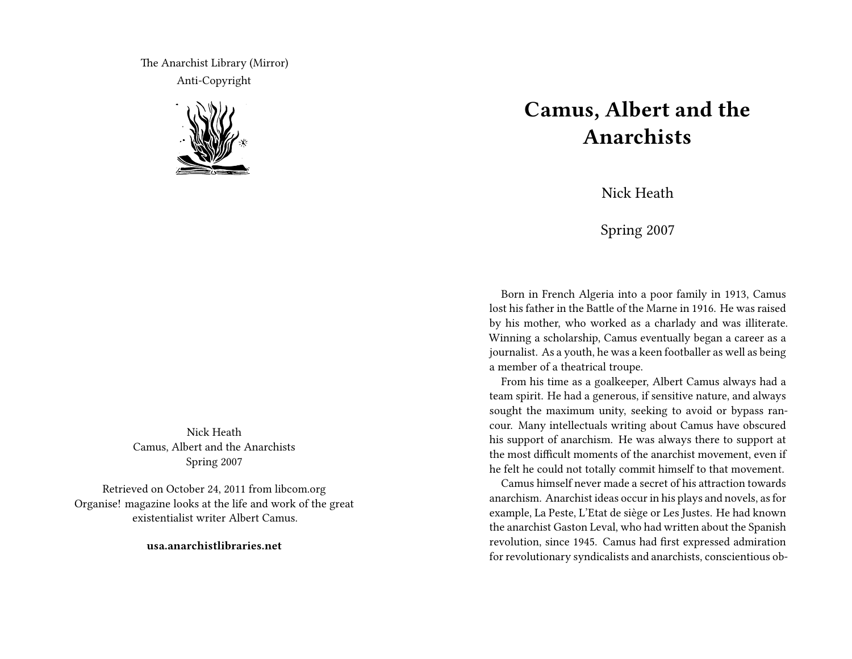The Anarchist Library (Mirror) Anti-Copyright



Nick Heath Camus, Albert and the Anarchists Spring 2007

Retrieved on October 24, 2011 from libcom.org Organise! magazine looks at the life and work of the great existentialist writer Albert Camus.

**usa.anarchistlibraries.net**

## **Camus, Albert and the Anarchists**

Nick Heath

Spring 2007

Born in French Algeria into a poor family in 1913, Camus lost his father in the Battle of the Marne in 1916. He was raised by his mother, who worked as a charlady and was illiterate. Winning a scholarship, Camus eventually began a career as a journalist. As a youth, he was a keen footballer as well as being a member of a theatrical troupe.

From his time as a goalkeeper, Albert Camus always had a team spirit. He had a generous, if sensitive nature, and always sought the maximum unity, seeking to avoid or bypass rancour. Many intellectuals writing about Camus have obscured his support of anarchism. He was always there to support at the most difficult moments of the anarchist movement, even if he felt he could not totally commit himself to that movement.

Camus himself never made a secret of his attraction towards anarchism. Anarchist ideas occur in his plays and novels, as for example, La Peste, L'Etat de siège or Les Justes. He had known the anarchist Gaston Leval, who had written about the Spanish revolution, since 1945. Camus had first expressed admiration for revolutionary syndicalists and anarchists, conscientious ob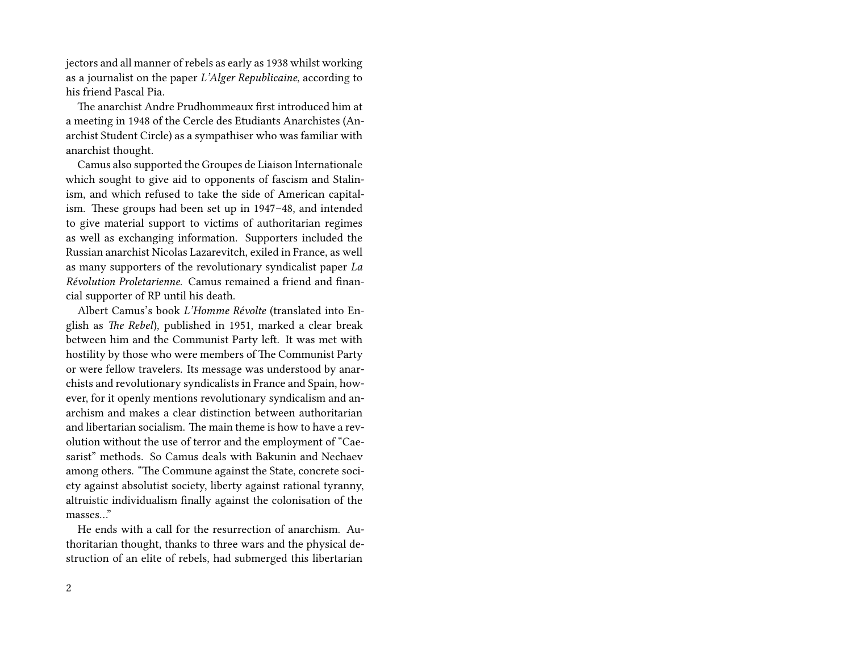jectors and all manner of rebels as early as 1938 whilst working as a journalist on the paper *L'Alger Republicaine*, according to his friend Pascal Pia.

The anarchist Andre Prudhommeaux first introduced him at a meeting in 1948 of the Cercle des Etudiants Anarchistes (Anarchist Student Circle) as a sympathiser who was familiar with anarchist thought.

Camus also supported the Groupes de Liaison Internationale which sought to give aid to opponents of fascism and Stalinism, and which refused to take the side of American capitalism. These groups had been set up in 1947–48, and intended to give material support to victims of authoritarian regimes as well as exchanging information. Supporters included the Russian anarchist Nicolas Lazarevitch, exiled in France, as well as many supporters of the revolutionary syndicalist paper *La Révolution Proletarienne*. Camus remained a friend and financial supporter of RP until his death.

Albert Camus's book *L'Homme Révolte* (translated into English as *The Rebel*), published in 1951, marked a clear break between him and the Communist Party left. It was met with hostility by those who were members of The Communist Party or were fellow travelers. Its message was understood by anarchists and revolutionary syndicalists in France and Spain, however, for it openly mentions revolutionary syndicalism and anarchism and makes a clear distinction between authoritarian and libertarian socialism. The main theme is how to have a revolution without the use of terror and the employment of "Caesarist" methods. So Camus deals with Bakunin and Nechaev among others. "The Commune against the State, concrete society against absolutist society, liberty against rational tyranny, altruistic individualism finally against the colonisation of the masses…"

He ends with a call for the resurrection of anarchism. Authoritarian thought, thanks to three wars and the physical destruction of an elite of rebels, had submerged this libertarian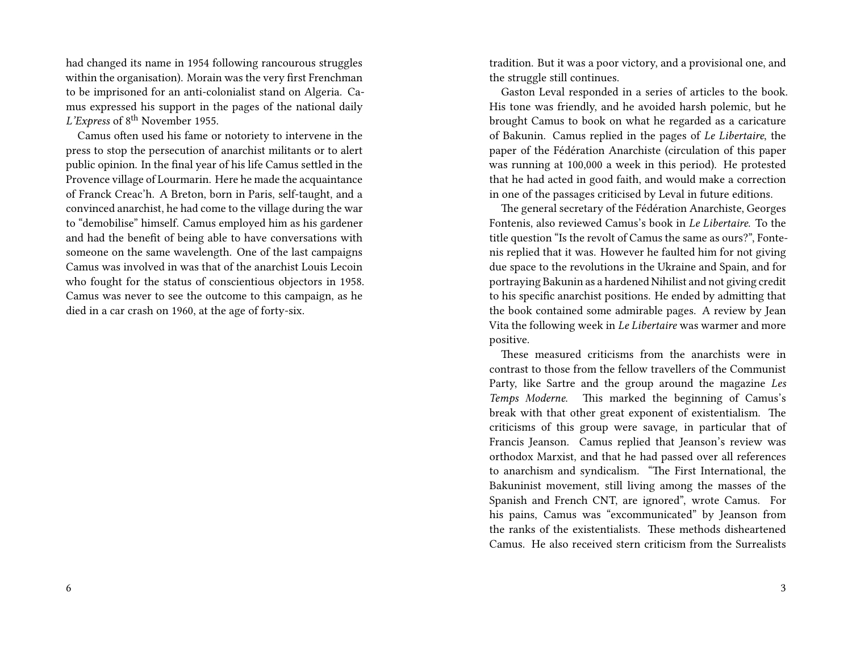had changed its name in 1954 following rancourous struggles within the organisation). Morain was the very first Frenchman to be imprisoned for an anti-colonialist stand on Algeria. Camus expressed his support in the pages of the national daily *L'Express* of 8<sup>th</sup> November 1955.

Camus often used his fame or notoriety to intervene in the press to stop the persecution of anarchist militants or to alert public opinion. In the final year of his life Camus settled in the Provence village of Lourmarin. Here he made the acquaintance of Franck Creac'h. A Breton, born in Paris, self-taught, and a convinced anarchist, he had come to the village during the war to "demobilise" himself. Camus employed him as his gardener and had the benefit of being able to have conversations with someone on the same wavelength. One of the last campaigns Camus was involved in was that of the anarchist Louis Lecoin who fought for the status of conscientious objectors in 1958. Camus was never to see the outcome to this campaign, as he died in a car crash on 1960, at the age of forty-six.

tradition. But it was a poor victory, and a provisional one, and the struggle still continues.

Gaston Leval responded in a series of articles to the book. His tone was friendly, and he avoided harsh polemic, but he brought Camus to book on what he regarded as a caricature of Bakunin. Camus replied in the pages of *Le Libertaire*, the paper of the Fédération Anarchiste (circulation of this paper was running at 100,000 a week in this period). He protested that he had acted in good faith, and would make a correction in one of the passages criticised by Leval in future editions.

The general secretary of the Fédération Anarchiste, Georges Fontenis, also reviewed Camus's book in *Le Libertaire*. To the title question "Is the revolt of Camus the same as ours?", Fontenis replied that it was. However he faulted him for not giving due space to the revolutions in the Ukraine and Spain, and for portraying Bakunin as a hardened Nihilist and not giving credit to his specific anarchist positions. He ended by admitting that the book contained some admirable pages. A review by Jean Vita the following week in *Le Libertaire* was warmer and more positive.

These measured criticisms from the anarchists were in contrast to those from the fellow travellers of the Communist Party, like Sartre and the group around the magazine *Les Temps Moderne*. This marked the beginning of Camus's break with that other great exponent of existentialism. The criticisms of this group were savage, in particular that of Francis Jeanson. Camus replied that Jeanson's review was orthodox Marxist, and that he had passed over all references to anarchism and syndicalism. "The First International, the Bakuninist movement, still living among the masses of the Spanish and French CNT, are ignored", wrote Camus. For his pains, Camus was "excommunicated" by Jeanson from the ranks of the existentialists. These methods disheartened Camus. He also received stern criticism from the Surrealists